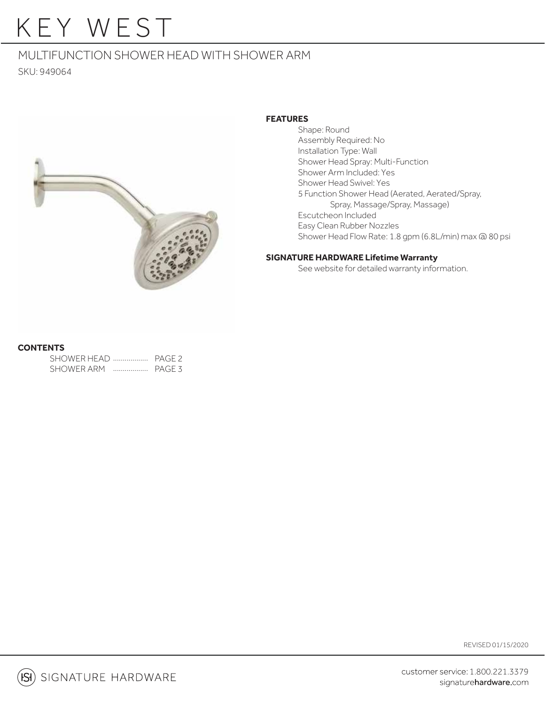# KEY WEST

### MULTIFUNCTION SHOWER HEAD WITH SHOWER ARM

SKU: 949064



#### **FEATURES**

 Shape: Round Assembly Required: No Installation Type: Wall Shower Head Spray: Multi-Function Shower Arm Included: Yes Shower Head Swivel: Yes 5 Function Shower Head (Aerated, Aerated/Spray, Spray, Massage/Spray, Massage) Escutcheon Included Easy Clean Rubber Nozzles Shower Head Flow Rate: 1.8 gpm (6.8L/min) max @ 80 psi

#### **SIGNATURE HARDWARE Lifetime Warranty**

See website for detailed warranty information.

#### **CONTENTS**

| SHOWER HEAD |   | PAGE <sub>2</sub> |
|-------------|---|-------------------|
| SHOWER ARM  | . | PAGE 3            |

REVISED 01/15/2020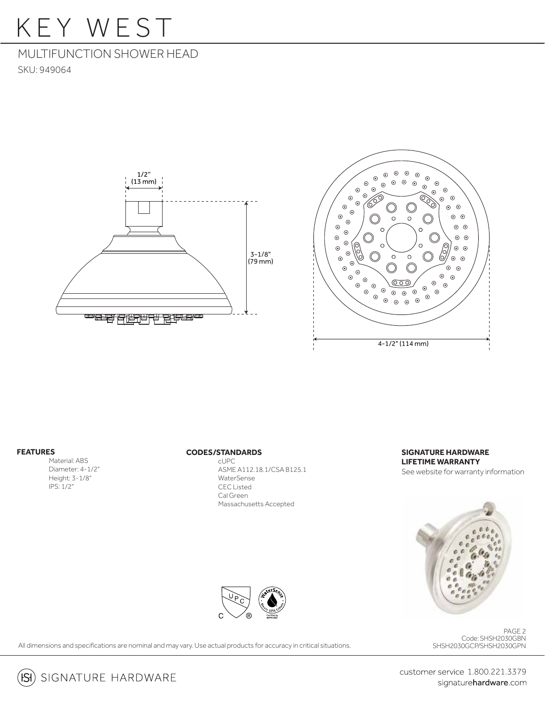## KEY WEST

### MULTIFUNCTION SHOWER HEAD

SKU: 949064





#### **FEATURES**

 Material: ABS Diameter: 4-1/2" Height: 3-1/8" IPS: 1/2"

#### **CODES/STANDARDS**

 cUPC ASME A112.18.1/CSA B125.1 WaterSense CEC Listed Cal Green Massachusetts Accepted

#### **SIGNATURE HARDWARE LIFETIME WARRANTY**

See website for warranty information



#### Code: SHSH2030GBN SHSH2030GCP/SHSH2030GPN PAGE 2

All dimensions and specifications are nominal and may vary. Use actual products for accuracy in critical situations.

 $(S)$  signature hardware

customer service 1.800.221.3379 signaturehardware.com